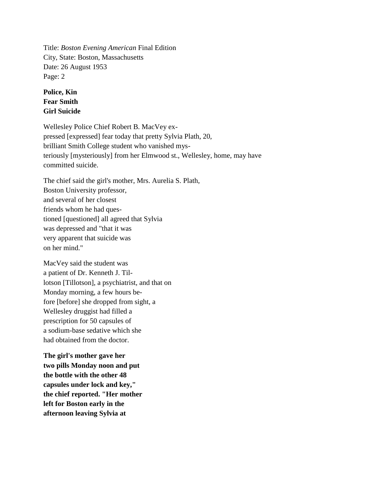Title: *Boston Evening American* Final Edition City, State: Boston, Massachusetts Date: 26 August 1953 Page: 2

## **Police, Kin Fear Smith Girl Suicide**

Wellesley Police Chief Robert B. MacVey expressed [expressed] fear today that pretty Sylvia Plath, 20, brilliant Smith College student who vanished mysteriously [mysteriously] from her Elmwood st., Wellesley, home, may have committed suicide.

The chief said the girl's mother, Mrs. Aurelia S. Plath, Boston University professor, and several of her closest friends whom he had questioned [questioned] all agreed that Sylvia was depressed and "that it was very apparent that suicide was on her mind."

MacVey said the student was a patient of Dr. Kenneth J. Tillotson [Tillotson], a psychiatrist, and that on Monday morning, a few hours before [before] she dropped from sight, a Wellesley druggist had filled a prescription for 50 capsules of a sodium-base sedative which she had obtained from the doctor.

**The girl's mother gave her two pills Monday noon and put the bottle with the other 48 capsules under lock and key," the chief reported. "Her mother left for Boston early in the afternoon leaving Sylvia at**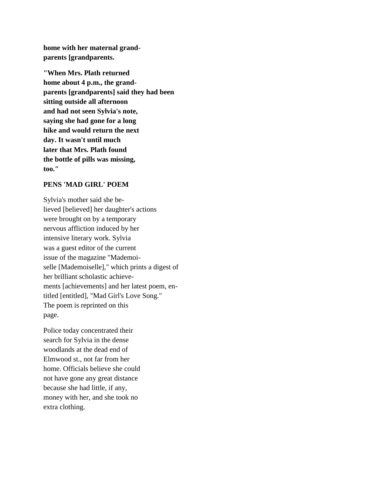**home with her maternal grandparents [grandparents.**

**"When Mrs. Plath returned home about 4 p.m., the grandparents [grandparents] said they had been sitting outside all afternoon and had not seen Sylvia's note, saying she had gone for a long hike and would return the next day. It wasn't until much later that Mrs. Plath found the bottle of pills was missing, too."**

## **PENS 'MAD GIRL' POEM**

Sylvia's mother said she believed [believed] her daughter's actions were brought on by a temporary nervous affliction induced by her intensive literary work. Sylvia was a guest editor of the current issue of the magazine "Mademoiselle [Mademoiselle]," which prints a digest of her brilliant scholastic achievements [achievements] and her latest poem, entitled [entitled], "Mad Girl's Love Song." The poem is reprinted on this page.

Police today concentrated their search for Sylvia in the dense woodlands at the dead end of Elmwood st., not far from her home. Officials believe she could not have gone any great distance because she had little, if any, money with her, and she took no extra clothing.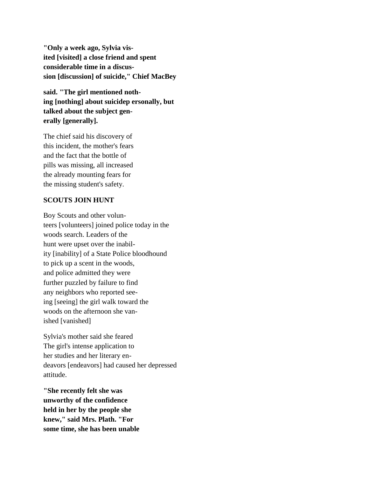**"Only a week ago, Sylvia visited [visited] a close friend and spent considerable time in a discussion [discussion] of suicide," Chief MacBey**

**said. "The girl mentioned nothing [nothing] about suicidep ersonally, but talked about the subject generally [generally].**

The chief said his discovery of this incident, the mother's fears and the fact that the bottle of pills was missing, all increased the already mounting fears for the missing student's safety.

## **SCOUTS JOIN HUNT**

Boy Scouts and other volunteers [volunteers] joined police today in the woods search. Leaders of the hunt were upset over the inability [inability] of a State Police bloodhound to pick up a scent in the woods, and police admitted they were further puzzled by failure to find any neighbors who reported seeing [seeing] the girl walk toward the woods on the afternoon she vanished [vanished]

Sylvia's mother said she feared The girl's intense application to her studies and her literary endeavors [endeavors] had caused her depressed attitude.

**"She recently felt she was unworthy of the confidence held in her by the people she knew," said Mrs. Plath. "For some time, she has been unable**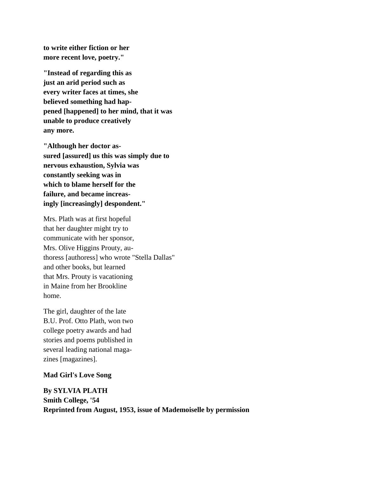**to write either fiction or her more recent love, poetry."**

**"Instead of regarding this as just an arid period such as every writer faces at times, she believed something had happened [happened] to her mind, that it was unable to produce creatively any more.**

**"Although her doctor assured [assured] us this was simply due to nervous exhaustion, Sylvia was constantly seeking was in which to blame herself for the failure, and became increasingly [increasingly] despondent."**

Mrs. Plath was at first hopeful that her daughter might try to communicate with her sponsor, Mrs. Olive Higgins Prouty, authoress [authoress] who wrote "Stella Dallas" and other books, but learned that Mrs. Prouty is vacationing in Maine from her Brookline home.

The girl, daughter of the late B.U. Prof. Otto Plath, won two college poetry awards and had stories and poems published in several leading national magazines [magazines].

## **Mad Girl's Love Song**

**By SYLVIA PLATH Smith College, '54 Reprinted from August, 1953, issue of Mademoiselle by permission**